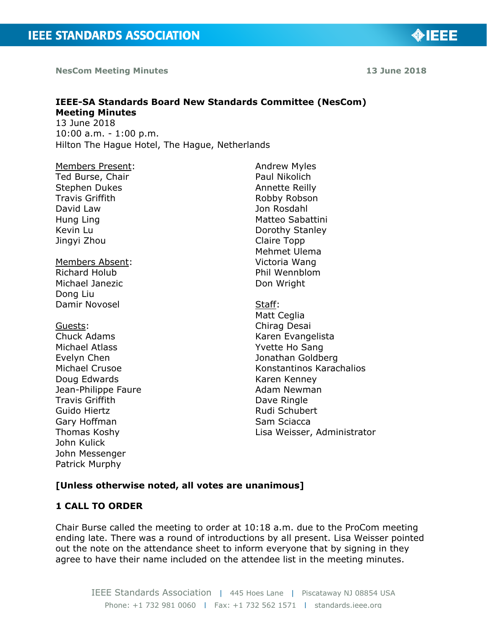**NesCom Meeting Minutes 13 June 2018**

**IEEE-SA Standards Board New Standards Committee (NesCom) Meeting Minutes**  13 June 2018

10:00 a.m. - 1:00 p.m. Hilton The Hague Hotel, The Hague, Netherlands

Members Present: Ted Burse, Chair Stephen Dukes Travis Griffith David Law Hung Ling Kevin Lu Jingyi Zhou Members Absent: Richard Holub Michael Janezic Dong Liu Damir Novosel Guests: Chuck Adams Michael Atlass Evelyn Chen Michael Crusoe Doug Edwards Jean-Philippe Faure Travis Griffith Guido Hiertz Gary Hoffman Thomas Koshy John Kulick John Messenger

Andrew Myles Paul Nikolich Annette Reilly Robby Robson Jon Rosdahl Matteo Sabattini Dorothy Stanley Claire Topp Mehmet Ulema Victoria Wang Phil Wennblom Don Wright

Staff: Matt Ceglia Chirag Desai Karen Evangelista Yvette Ho Sang Jonathan Goldberg Konstantinos Karachalios Karen Kenney Adam Newman Dave Ringle Rudi Schubert Sam Sciacca Lisa Weisser, Administrator

# **[Unless otherwise noted, all votes are unanimous]**

## **1 CALL TO ORDER**

Patrick Murphy

Chair Burse called the meeting to order at 10:18 a.m. due to the ProCom meeting ending late. There was a round of introductions by all present. Lisa Weisser pointed out the note on the attendance sheet to inform everyone that by signing in they agree to have their name included on the attendee list in the meeting minutes.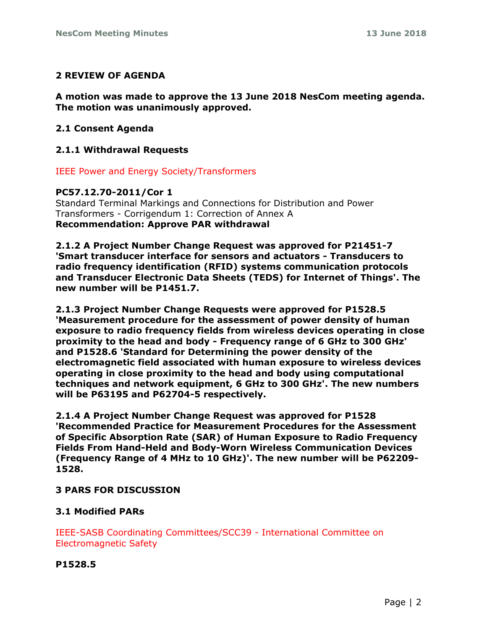## **2 REVIEW OF AGENDA**

**A motion was made to approve the 13 June 2018 NesCom meeting agenda. The motion was unanimously approved.**

### **2.1 Consent Agenda**

## **2.1.1 Withdrawal Requests**

IEEE Power and Energy Society/Transformers

## **PC57.12.70-2011/Cor 1**

Standard Terminal Markings and Connections for Distribution and Power Transformers - Corrigendum 1: Correction of Annex A **Recommendation: Approve PAR withdrawal**

**2.1.2 A Project Number Change Request was approved for P21451-7 'Smart transducer interface for sensors and actuators - Transducers to radio frequency identification (RFID) systems communication protocols and Transducer Electronic Data Sheets (TEDS) for Internet of Things'. The new number will be P1451.7.**

**2.1.3 Project Number Change Requests were approved for P1528.5 'Measurement procedure for the assessment of power density of human exposure to radio frequency fields from wireless devices operating in close proximity to the head and body - Frequency range of 6 GHz to 300 GHz' and P1528.6 'Standard for Determining the power density of the electromagnetic field associated with human exposure to wireless devices operating in close proximity to the head and body using computational techniques and network equipment, 6 GHz to 300 GHz'. The new numbers will be P63195 and P62704-5 respectively.**

**2.1.4 A Project Number Change Request was approved for P1528 'Recommended Practice for Measurement Procedures for the Assessment of Specific Absorption Rate (SAR) of Human Exposure to Radio Frequency Fields From Hand-Held and Body-Worn Wireless Communication Devices (Frequency Range of 4 MHz to 10 GHz)'. The new number will be P62209- 1528.**

## **3 PARS FOR DISCUSSION**

#### **3.1 Modified PARs**

IEEE-SASB Coordinating Committees/SCC39 - International Committee on Electromagnetic Safety

#### **P1528.5**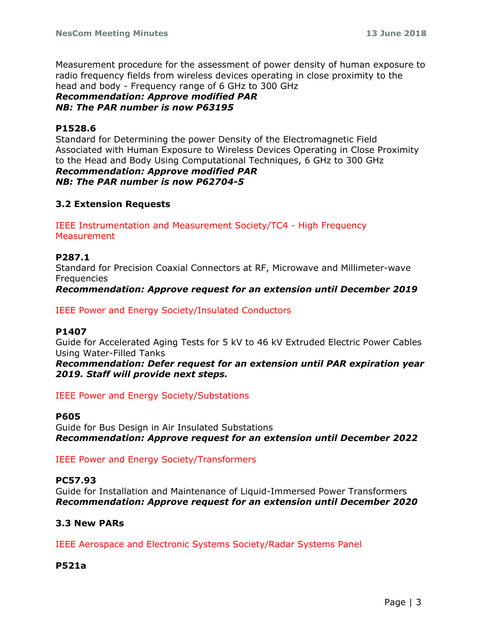Measurement procedure for the assessment of power density of human exposure to radio frequency fields from wireless devices operating in close proximity to the head and body - Frequency range of 6 GHz to 300 GHz

*Recommendation: Approve modified PAR NB: The PAR number is now P63195*

## **P1528.6**

Standard for Determining the power Density of the Electromagnetic Field Associated with Human Exposure to Wireless Devices Operating in Close Proximity to the Head and Body Using Computational Techniques, 6 GHz to 300 GHz *Recommendation: Approve modified PAR*

*NB: The PAR number is now P62704-5*

## **3.2 Extension Requests**

IEEE Instrumentation and Measurement Society/TC4 - High Frequency **Measurement** 

## **P287.1**

Standard for Precision Coaxial Connectors at RF, Microwave and Millimeter-wave **Frequencies** 

*Recommendation: Approve request for an extension until December 2019*

IEEE Power and Energy Society/Insulated Conductors

#### **P1407**

Guide for Accelerated Aging Tests for 5 kV to 46 kV Extruded Electric Power Cables Using Water-Filled Tanks

*Recommendation: Defer request for an extension until PAR expiration year 2019. Staff will provide next steps.*

IEEE Power and Energy Society/Substations

#### **P605**

Guide for Bus Design in Air Insulated Substations *Recommendation: Approve request for an extension until December 2022*

IEEE Power and Energy Society/Transformers

#### **PC57.93**

Guide for Installation and Maintenance of Liquid-Immersed Power Transformers *Recommendation: Approve request for an extension until December 2020*

## **3.3 New PARs**

IEEE Aerospace and Electronic Systems Society/Radar Systems Panel

#### **P521a**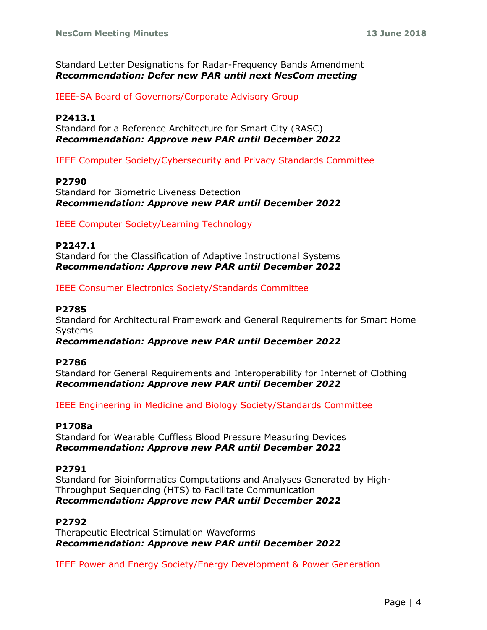Standard Letter Designations for Radar-Frequency Bands Amendment *Recommendation: Defer new PAR until next NesCom meeting*

IEEE-SA Board of Governors/Corporate Advisory Group

## **P2413.1**

Standard for a Reference Architecture for Smart City (RASC) *Recommendation: Approve new PAR until December 2022*

IEEE Computer Society/Cybersecurity and Privacy Standards Committee

#### **P2790**

Standard for Biometric Liveness Detection *Recommendation: Approve new PAR until December 2022*

IEEE Computer Society/Learning Technology

#### **P2247.1** Standard for the Classification of Adaptive Instructional Systems *Recommendation: Approve new PAR until December 2022*

IEEE Consumer Electronics Society/Standards Committee

#### **P2785**

Standard for Architectural Framework and General Requirements for Smart Home Systems

*Recommendation: Approve new PAR until December 2022*

#### **P2786**

Standard for General Requirements and Interoperability for Internet of Clothing *Recommendation: Approve new PAR until December 2022*

IEEE Engineering in Medicine and Biology Society/Standards Committee

## **P1708a**

Standard for Wearable Cuffless Blood Pressure Measuring Devices *Recommendation: Approve new PAR until December 2022*

#### **P2791**

Standard for Bioinformatics Computations and Analyses Generated by High-Throughput Sequencing (HTS) to Facilitate Communication *Recommendation: Approve new PAR until December 2022*

## **P2792**

Therapeutic Electrical Stimulation Waveforms *Recommendation: Approve new PAR until December 2022*

IEEE Power and Energy Society/Energy Development & Power Generation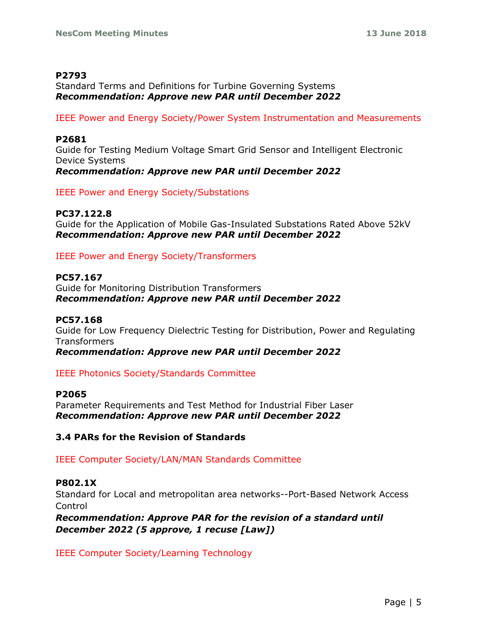### **P2793**

Standard Terms and Definitions for Turbine Governing Systems *Recommendation: Approve new PAR until December 2022*

IEEE Power and Energy Society/Power System Instrumentation and Measurements

## **P2681**

Guide for Testing Medium Voltage Smart Grid Sensor and Intelligent Electronic Device Systems *Recommendation: Approve new PAR until December 2022*

IEEE Power and Energy Society/Substations

## **PC37.122.8**

Guide for the Application of Mobile Gas-Insulated Substations Rated Above 52kV *Recommendation: Approve new PAR until December 2022*

IEEE Power and Energy Society/Transformers

## **PC57.167**

Guide for Monitoring Distribution Transformers *Recommendation: Approve new PAR until December 2022*

#### **PC57.168**

Guide for Low Frequency Dielectric Testing for Distribution, Power and Regulating **Transformers** 

*Recommendation: Approve new PAR until December 2022*

## IEEE Photonics Society/Standards Committee

#### **P2065**

Parameter Requirements and Test Method for Industrial Fiber Laser *Recommendation: Approve new PAR until December 2022*

## **3.4 PARs for the Revision of Standards**

IEEE Computer Society/LAN/MAN Standards Committee

#### **P802.1X**

Standard for Local and metropolitan area networks--Port-Based Network Access Control

*Recommendation: Approve PAR for the revision of a standard until December 2022 (5 approve, 1 recuse [Law])*

IEEE Computer Society/Learning Technology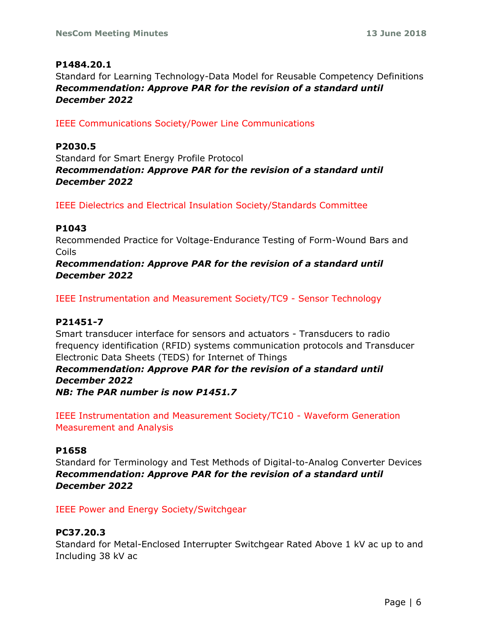## **P1484.20.1**

Standard for Learning Technology-Data Model for Reusable Competency Definitions *Recommendation: Approve PAR for the revision of a standard until December 2022*

IEEE Communications Society/Power Line Communications

## **P2030.5**

Standard for Smart Energy Profile Protocol *Recommendation: Approve PAR for the revision of a standard until December 2022*

IEEE Dielectrics and Electrical Insulation Society/Standards Committee

## **P1043**

Recommended Practice for Voltage-Endurance Testing of Form-Wound Bars and Coils

*Recommendation: Approve PAR for the revision of a standard until December 2022*

IEEE Instrumentation and Measurement Society/TC9 - Sensor Technology

## **P21451-7**

Smart transducer interface for sensors and actuators - Transducers to radio frequency identification (RFID) systems communication protocols and Transducer Electronic Data Sheets (TEDS) for Internet of Things

*Recommendation: Approve PAR for the revision of a standard until December 2022*

*NB: The PAR number is now P1451.7*

IEEE Instrumentation and Measurement Society/TC10 - Waveform Generation Measurement and Analysis

#### **P1658**

Standard for Terminology and Test Methods of Digital-to-Analog Converter Devices *Recommendation: Approve PAR for the revision of a standard until December 2022*

IEEE Power and Energy Society/Switchgear

## **PC37.20.3**

Standard for Metal-Enclosed Interrupter Switchgear Rated Above 1 kV ac up to and Including 38 kV ac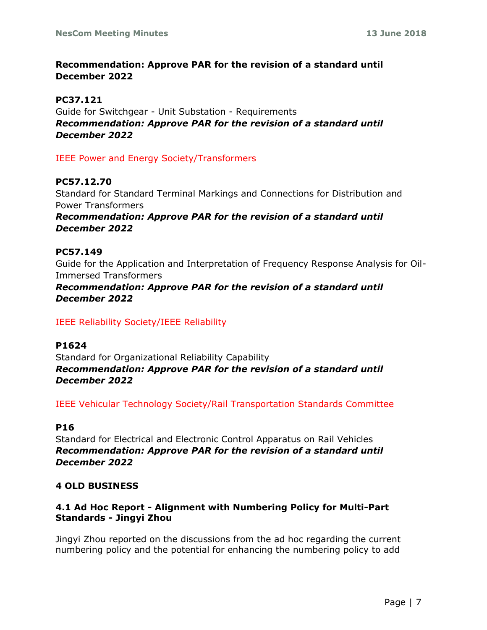## **Recommendation: Approve PAR for the revision of a standard until December 2022**

#### **PC37.121**

Guide for Switchgear - Unit Substation - Requirements *Recommendation: Approve PAR for the revision of a standard until December 2022*

#### IEEE Power and Energy Society/Transformers

## **PC57.12.70**

Standard for Standard Terminal Markings and Connections for Distribution and Power Transformers

*Recommendation: Approve PAR for the revision of a standard until December 2022*

#### **PC57.149**

Guide for the Application and Interpretation of Frequency Response Analysis for Oil-Immersed Transformers

## *Recommendation: Approve PAR for the revision of a standard until December 2022*

#### IEEE Reliability Society/IEEE Reliability

#### **P1624**

Standard for Organizational Reliability Capability *Recommendation: Approve PAR for the revision of a standard until December 2022*

IEEE Vehicular Technology Society/Rail Transportation Standards Committee

#### **P16**

Standard for Electrical and Electronic Control Apparatus on Rail Vehicles *Recommendation: Approve PAR for the revision of a standard until December 2022*

#### **4 OLD BUSINESS**

## **4.1 Ad Hoc Report - Alignment with Numbering Policy for Multi-Part Standards - Jingyi Zhou**

Jingyi Zhou reported on the discussions from the ad hoc regarding the current numbering policy and the potential for enhancing the numbering policy to add